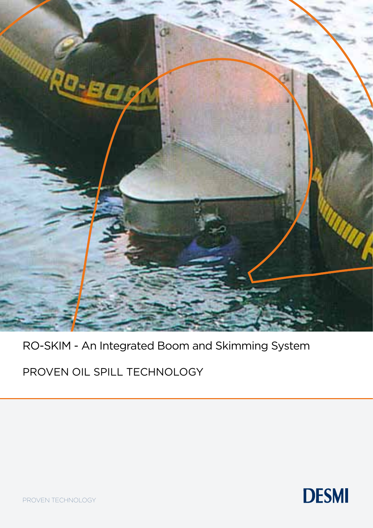

## RO-SKIM - An Integrated Boom and Skimming System

PROVEN OIL SPILL TECHNOLOGY